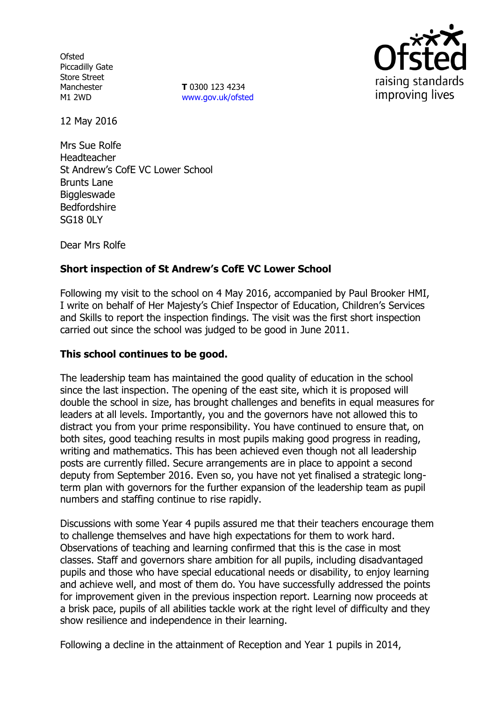**Ofsted** Piccadilly Gate Store Street Manchester M1 2WD

**T** 0300 123 4234 www.gov.uk/ofsted



12 May 2016

Mrs Sue Rolfe Headteacher St Andrew's CofE VC Lower School Brunts Lane **Biggleswade** Bedfordshire SG18 0LY

Dear Mrs Rolfe

## **Short inspection of St Andrew's CofE VC Lower School**

Following my visit to the school on 4 May 2016, accompanied by Paul Brooker HMI, I write on behalf of Her Majesty's Chief Inspector of Education, Children's Services and Skills to report the inspection findings. The visit was the first short inspection carried out since the school was judged to be good in June 2011.

### **This school continues to be good.**

The leadership team has maintained the good quality of education in the school since the last inspection. The opening of the east site, which it is proposed will double the school in size, has brought challenges and benefits in equal measures for leaders at all levels. Importantly, you and the governors have not allowed this to distract you from your prime responsibility. You have continued to ensure that, on both sites, good teaching results in most pupils making good progress in reading, writing and mathematics. This has been achieved even though not all leadership posts are currently filled. Secure arrangements are in place to appoint a second deputy from September 2016. Even so, you have not yet finalised a strategic longterm plan with governors for the further expansion of the leadership team as pupil numbers and staffing continue to rise rapidly.

Discussions with some Year 4 pupils assured me that their teachers encourage them to challenge themselves and have high expectations for them to work hard. Observations of teaching and learning confirmed that this is the case in most classes. Staff and governors share ambition for all pupils, including disadvantaged pupils and those who have special educational needs or disability, to enjoy learning and achieve well, and most of them do. You have successfully addressed the points for improvement given in the previous inspection report. Learning now proceeds at a brisk pace, pupils of all abilities tackle work at the right level of difficulty and they show resilience and independence in their learning.

Following a decline in the attainment of Reception and Year 1 pupils in 2014,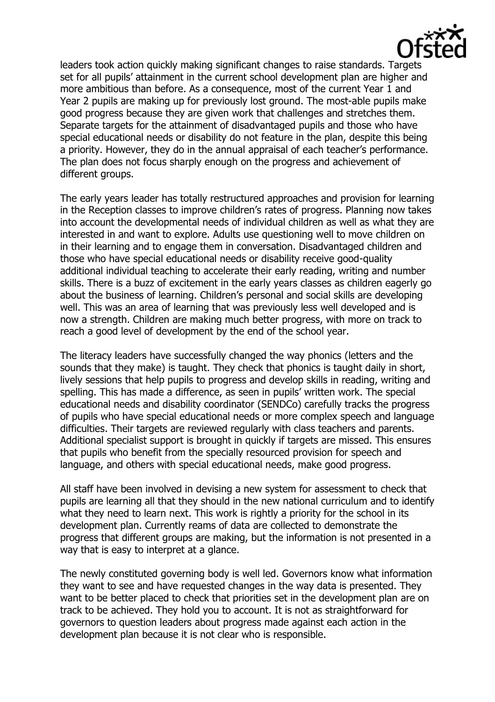

leaders took action quickly making significant changes to raise standards. Targets set for all pupils' attainment in the current school development plan are higher and more ambitious than before. As a consequence, most of the current Year 1 and Year 2 pupils are making up for previously lost ground. The most-able pupils make good progress because they are given work that challenges and stretches them. Separate targets for the attainment of disadvantaged pupils and those who have special educational needs or disability do not feature in the plan, despite this being a priority. However, they do in the annual appraisal of each teacher's performance. The plan does not focus sharply enough on the progress and achievement of different groups.

The early years leader has totally restructured approaches and provision for learning in the Reception classes to improve children's rates of progress. Planning now takes into account the developmental needs of individual children as well as what they are interested in and want to explore. Adults use questioning well to move children on in their learning and to engage them in conversation. Disadvantaged children and those who have special educational needs or disability receive good-quality additional individual teaching to accelerate their early reading, writing and number skills. There is a buzz of excitement in the early years classes as children eagerly go about the business of learning. Children's personal and social skills are developing well. This was an area of learning that was previously less well developed and is now a strength. Children are making much better progress, with more on track to reach a good level of development by the end of the school year.

The literacy leaders have successfully changed the way phonics (letters and the sounds that they make) is taught. They check that phonics is taught daily in short, lively sessions that help pupils to progress and develop skills in reading, writing and spelling. This has made a difference, as seen in pupils' written work. The special educational needs and disability coordinator (SENDCo) carefully tracks the progress of pupils who have special educational needs or more complex speech and language difficulties. Their targets are reviewed regularly with class teachers and parents. Additional specialist support is brought in quickly if targets are missed. This ensures that pupils who benefit from the specially resourced provision for speech and language, and others with special educational needs, make good progress.

All staff have been involved in devising a new system for assessment to check that pupils are learning all that they should in the new national curriculum and to identify what they need to learn next. This work is rightly a priority for the school in its development plan. Currently reams of data are collected to demonstrate the progress that different groups are making, but the information is not presented in a way that is easy to interpret at a glance.

The newly constituted governing body is well led. Governors know what information they want to see and have requested changes in the way data is presented. They want to be better placed to check that priorities set in the development plan are on track to be achieved. They hold you to account. It is not as straightforward for governors to question leaders about progress made against each action in the development plan because it is not clear who is responsible.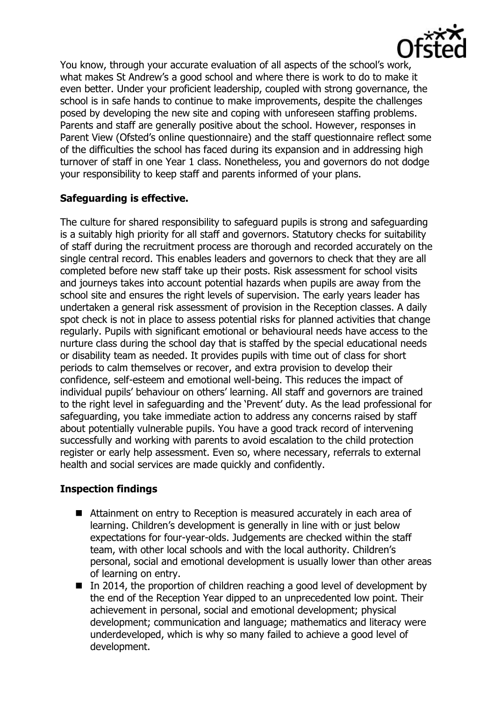

You know, through your accurate evaluation of all aspects of the school's work, what makes St Andrew's a good school and where there is work to do to make it even better. Under your proficient leadership, coupled with strong governance, the school is in safe hands to continue to make improvements, despite the challenges posed by developing the new site and coping with unforeseen staffing problems. Parents and staff are generally positive about the school. However, responses in Parent View (Ofsted's online questionnaire) and the staff questionnaire reflect some of the difficulties the school has faced during its expansion and in addressing high turnover of staff in one Year 1 class. Nonetheless, you and governors do not dodge your responsibility to keep staff and parents informed of your plans.

## **Safeguarding is effective.**

The culture for shared responsibility to safeguard pupils is strong and safeguarding is a suitably high priority for all staff and governors. Statutory checks for suitability of staff during the recruitment process are thorough and recorded accurately on the single central record. This enables leaders and governors to check that they are all completed before new staff take up their posts. Risk assessment for school visits and journeys takes into account potential hazards when pupils are away from the school site and ensures the right levels of supervision. The early years leader has undertaken a general risk assessment of provision in the Reception classes. A daily spot check is not in place to assess potential risks for planned activities that change regularly. Pupils with significant emotional or behavioural needs have access to the nurture class during the school day that is staffed by the special educational needs or disability team as needed. It provides pupils with time out of class for short periods to calm themselves or recover, and extra provision to develop their confidence, self-esteem and emotional well-being. This reduces the impact of individual pupils' behaviour on others' learning. All staff and governors are trained to the right level in safeguarding and the 'Prevent' duty. As the lead professional for safeguarding, you take immediate action to address any concerns raised by staff about potentially vulnerable pupils. You have a good track record of intervening successfully and working with parents to avoid escalation to the child protection register or early help assessment. Even so, where necessary, referrals to external health and social services are made quickly and confidently.

## **Inspection findings**

- Attainment on entry to Reception is measured accurately in each area of learning. Children's development is generally in line with or just below expectations for four-year-olds. Judgements are checked within the staff team, with other local schools and with the local authority. Children's personal, social and emotional development is usually lower than other areas of learning on entry.
- In 2014, the proportion of children reaching a good level of development by the end of the Reception Year dipped to an unprecedented low point. Their achievement in personal, social and emotional development; physical development; communication and language; mathematics and literacy were underdeveloped, which is why so many failed to achieve a good level of development.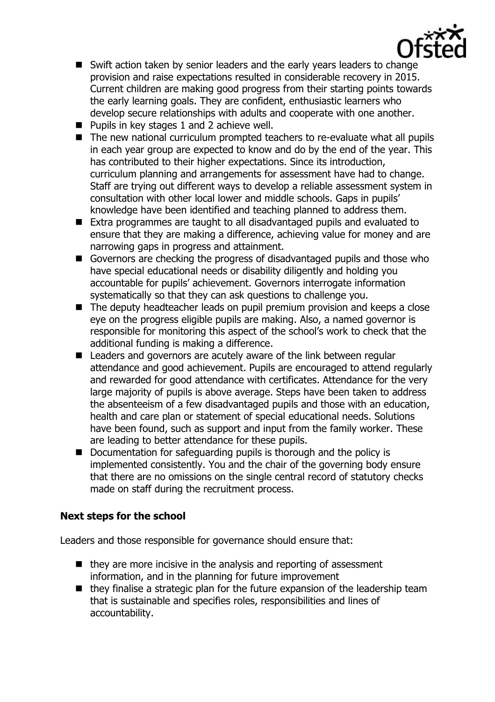- Swift action taken by senior leaders and the early years leaders to change provision and raise expectations resulted in considerable recovery in 2015. Current children are making good progress from their starting points towards the early learning goals. They are confident, enthusiastic learners who develop secure relationships with adults and cooperate with one another.
- $\blacksquare$  Pupils in key stages 1 and 2 achieve well.
- The new national curriculum prompted teachers to re-evaluate what all pupils in each year group are expected to know and do by the end of the year. This has contributed to their higher expectations. Since its introduction, curriculum planning and arrangements for assessment have had to change. Staff are trying out different ways to develop a reliable assessment system in consultation with other local lower and middle schools. Gaps in pupils' knowledge have been identified and teaching planned to address them.
- Extra programmes are taught to all disadvantaged pupils and evaluated to ensure that they are making a difference, achieving value for money and are narrowing gaps in progress and attainment.
- Governors are checking the progress of disadvantaged pupils and those who have special educational needs or disability diligently and holding you accountable for pupils' achievement. Governors interrogate information systematically so that they can ask questions to challenge you.
- The deputy headteacher leads on pupil premium provision and keeps a close eye on the progress eligible pupils are making. Also, a named governor is responsible for monitoring this aspect of the school's work to check that the additional funding is making a difference.
- Leaders and governors are acutely aware of the link between regular attendance and good achievement. Pupils are encouraged to attend regularly and rewarded for good attendance with certificates. Attendance for the very large majority of pupils is above average. Steps have been taken to address the absenteeism of a few disadvantaged pupils and those with an education, health and care plan or statement of special educational needs. Solutions have been found, such as support and input from the family worker. These are leading to better attendance for these pupils.
- Documentation for safeguarding pupils is thorough and the policy is implemented consistently. You and the chair of the governing body ensure that there are no omissions on the single central record of statutory checks made on staff during the recruitment process.

# **Next steps for the school**

Leaders and those responsible for governance should ensure that:

- $\blacksquare$  they are more incisive in the analysis and reporting of assessment information, and in the planning for future improvement
- $\blacksquare$  they finalise a strategic plan for the future expansion of the leadership team that is sustainable and specifies roles, responsibilities and lines of accountability.